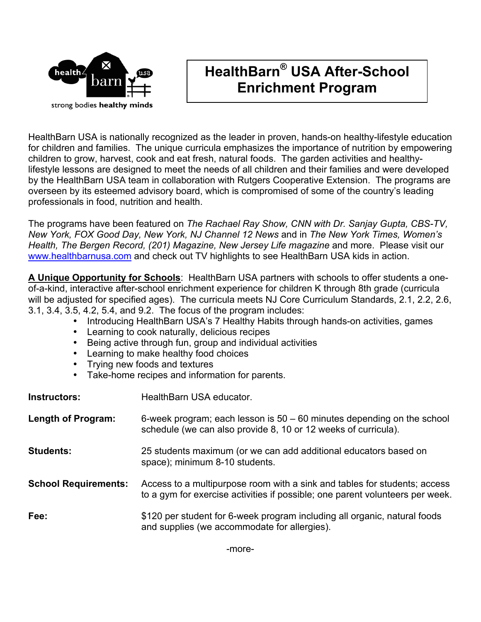

## **HealthBarn® USA After-School Enrichment Program**

HealthBarn USA is nationally recognized as the leader in proven, hands-on healthy-lifestyle education for children and families. The unique curricula emphasizes the importance of nutrition by empowering children to grow, harvest, cook and eat fresh, natural foods. The garden activities and healthylifestyle lessons are designed to meet the needs of all children and their families and were developed by the HealthBarn USA team in collaboration with Rutgers Cooperative Extension. The programs are overseen by its esteemed advisory board, which is compromised of some of the country's leading professionals in food, nutrition and health.

The programs have been featured on *The Rachael Ray Show, CNN with Dr. Sanjay Gupta, CBS-TV, New York, FOX Good Day, New York, NJ Channel 12 News* and in *The New York Times, Women's Health, The Bergen Record, (201) Magazine, New Jersey Life magazine* and more. Please visit our www.healthbarnusa.com and check out TV highlights to see HealthBarn USA kids in action.

**A Unique Opportunity for Schools**: HealthBarn USA partners with schools to offer students a oneof-a-kind, interactive after-school enrichment experience for children K through 8th grade (curricula will be adjusted for specified ages). The curricula meets NJ Core Curriculum Standards, 2.1, 2.2, 2.6, 3.1, 3.4, 3.5, 4.2, 5.4, and 9.2. The focus of the program includes:

- Introducing HealthBarn USA's 7 Healthy Habits through hands-on activities, games
- Learning to cook naturally, delicious recipes
- Being active through fun, group and individual activities
- Learning to make healthy food choices
- Trying new foods and textures
- Take-home recipes and information for parents.

| <b>Instructors:</b>         | HealthBarn USA educator.                                                                                                                                   |  |
|-----------------------------|------------------------------------------------------------------------------------------------------------------------------------------------------------|--|
| Length of Program:          | 6-week program; each lesson is $50 - 60$ minutes depending on the school<br>schedule (we can also provide 8, 10 or 12 weeks of curricula).                 |  |
| <b>Students:</b>            | 25 students maximum (or we can add additional educators based on<br>space); minimum 8-10 students.                                                         |  |
| <b>School Requirements:</b> | Access to a multipurpose room with a sink and tables for students; access<br>to a gym for exercise activities if possible; one parent volunteers per week. |  |
| Fee:                        | \$120 per student for 6-week program including all organic, natural foods<br>and supplies (we accommodate for allergies).                                  |  |